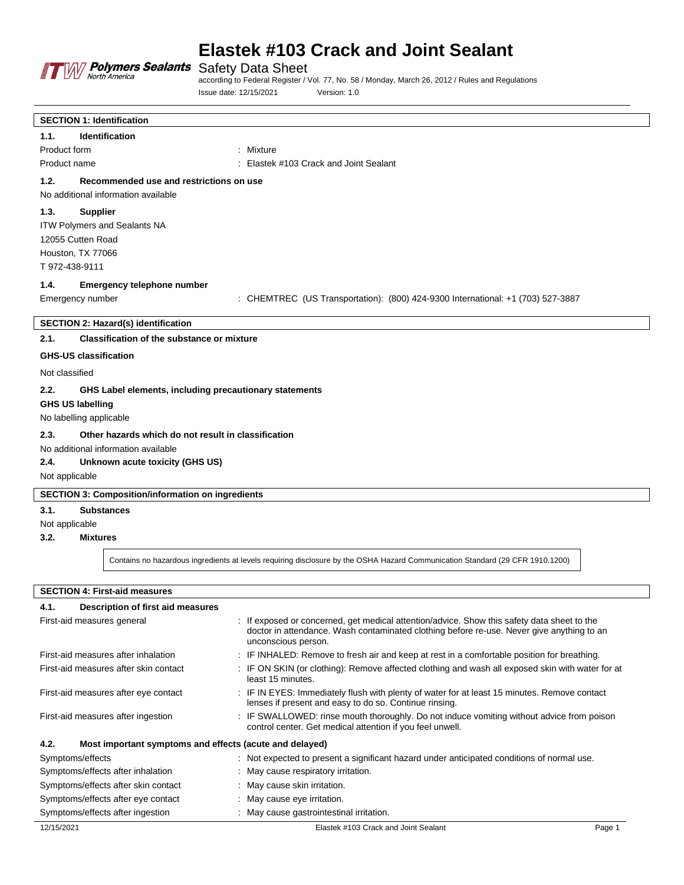

Safety Data Sheet

according to Federal Register / Vol. 77, No. 58 / Monday, March 26, 2012 / Rules and Regulations Issue date: 12/15/2021 Version: 1.0

|                                     | <b>SECTION 1: Identification</b>                         |                                                                                                                               |  |  |  |  |
|-------------------------------------|----------------------------------------------------------|-------------------------------------------------------------------------------------------------------------------------------|--|--|--|--|
| 1.1.                                | <b>Identification</b>                                    |                                                                                                                               |  |  |  |  |
| Product form                        |                                                          | : Mixture                                                                                                                     |  |  |  |  |
| Product name                        |                                                          | : Elastek #103 Crack and Joint Sealant                                                                                        |  |  |  |  |
| 1.2.                                | Recommended use and restrictions on use                  |                                                                                                                               |  |  |  |  |
|                                     | No additional information available                      |                                                                                                                               |  |  |  |  |
| 1.3.                                | <b>Supplier</b>                                          |                                                                                                                               |  |  |  |  |
|                                     | ITW Polymers and Sealants NA                             |                                                                                                                               |  |  |  |  |
|                                     | 12055 Cutten Road                                        |                                                                                                                               |  |  |  |  |
|                                     | Houston, TX 77066                                        |                                                                                                                               |  |  |  |  |
| T 972-438-9111                      |                                                          |                                                                                                                               |  |  |  |  |
| 1.4.                                | <b>Emergency telephone number</b>                        |                                                                                                                               |  |  |  |  |
|                                     | Emergency number                                         | : CHEMTREC (US Transportation): (800) 424-9300 International: +1 (703) 527-3887                                               |  |  |  |  |
|                                     |                                                          |                                                                                                                               |  |  |  |  |
|                                     | <b>SECTION 2: Hazard(s) identification</b>               |                                                                                                                               |  |  |  |  |
| 2.1.                                | <b>Classification of the substance or mixture</b>        |                                                                                                                               |  |  |  |  |
|                                     | <b>GHS-US classification</b>                             |                                                                                                                               |  |  |  |  |
| Not classified                      |                                                          |                                                                                                                               |  |  |  |  |
| 2.2.                                | GHS Label elements, including precautionary statements   |                                                                                                                               |  |  |  |  |
|                                     | <b>GHS US labelling</b>                                  |                                                                                                                               |  |  |  |  |
|                                     | No labelling applicable                                  |                                                                                                                               |  |  |  |  |
| 2.3.                                | Other hazards which do not result in classification      |                                                                                                                               |  |  |  |  |
| No additional information available |                                                          |                                                                                                                               |  |  |  |  |
| 2.4.                                | Unknown acute toxicity (GHS US)                          |                                                                                                                               |  |  |  |  |
|                                     | Not applicable                                           |                                                                                                                               |  |  |  |  |
|                                     | <b>SECTION 3: Composition/information on ingredients</b> |                                                                                                                               |  |  |  |  |
|                                     |                                                          |                                                                                                                               |  |  |  |  |
| 3.1.                                | <b>Substances</b>                                        |                                                                                                                               |  |  |  |  |
| Not applicable<br>3.2.              | <b>Mixtures</b>                                          |                                                                                                                               |  |  |  |  |
|                                     |                                                          |                                                                                                                               |  |  |  |  |
|                                     |                                                          | Contains no hazardous ingredients at levels requiring disclosure by the OSHA Hazard Communication Standard (29 CFR 1910.1200) |  |  |  |  |
|                                     |                                                          |                                                                                                                               |  |  |  |  |
|                                     | <b>SECTION 4: First-aid measures</b>                     |                                                                                                                               |  |  |  |  |

| SECTION 4: First-aid measures |                                   |  |  |
|-------------------------------|-----------------------------------|--|--|
|                               | Description of first aid mossures |  |  |

| 4.<br>Description of first ald measures                         |                                                                                                                                                                                                                 |  |  |
|-----------------------------------------------------------------|-----------------------------------------------------------------------------------------------------------------------------------------------------------------------------------------------------------------|--|--|
| First-aid measures general                                      | : If exposed or concerned, get medical attention/advice. Show this safety data sheet to the<br>doctor in attendance. Wash contaminated clothing before re-use. Never give anything to an<br>unconscious person. |  |  |
| First-aid measures after inhalation                             | : IF INHALED: Remove to fresh air and keep at rest in a comfortable position for breathing.                                                                                                                     |  |  |
| First-aid measures after skin contact                           | : IF ON SKIN (or clothing): Remove affected clothing and wash all exposed skin with water for at<br>least 15 minutes.                                                                                           |  |  |
| First-aid measures after eye contact                            | : IF IN EYES: Immediately flush with plenty of water for at least 15 minutes. Remove contact<br>lenses if present and easy to do so. Continue rinsing.                                                          |  |  |
| First-aid measures after ingestion                              | : IF SWALLOWED: rinse mouth thoroughly. Do not induce vomiting without advice from poison<br>control center. Get medical attention if you feel unwell.                                                          |  |  |
| 4.2.<br>Most important symptoms and effects (acute and delayed) |                                                                                                                                                                                                                 |  |  |
| Symptoms/effects                                                | : Not expected to present a significant hazard under anticipated conditions of normal use.                                                                                                                      |  |  |
| Symptoms/effects after inhalation                               | : May cause respiratory irritation.                                                                                                                                                                             |  |  |
| Symptoms/effects after skin contact                             | : May cause skin irritation.                                                                                                                                                                                    |  |  |
| Symptoms/effects after eye contact                              | : May cause eye irritation.                                                                                                                                                                                     |  |  |
| Symptoms/effects after ingestion                                | : May cause gastrointestinal irritation.                                                                                                                                                                        |  |  |
| 12/15/2021                                                      | Elastek #103 Crack and Joint Sealant<br>Page 1                                                                                                                                                                  |  |  |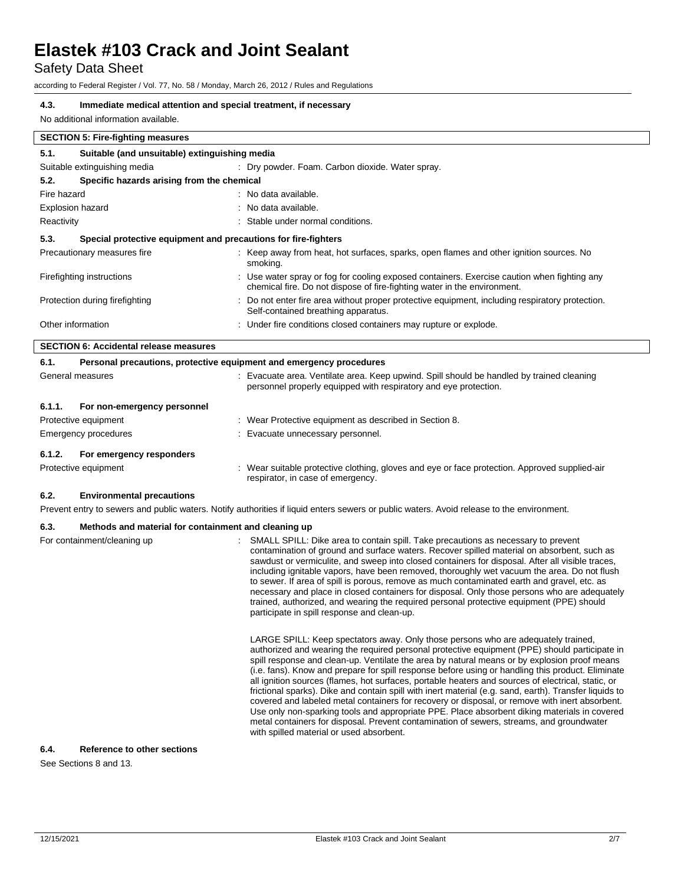Safety Data Sheet

according to Federal Register / Vol. 77, No. 58 / Monday, March 26, 2012 / Rules and Regulations

#### **4.3. Immediate medical attention and special treatment, if necessary**

No additional information available.

| 5.1.                                               | Suitable (and unsuitable) extinguishing media                                                                                                                           |  |  |  |  |
|----------------------------------------------------|-------------------------------------------------------------------------------------------------------------------------------------------------------------------------|--|--|--|--|
| Suitable extinguishing media                       | : Dry powder. Foam. Carbon dioxide. Water spray.                                                                                                                        |  |  |  |  |
| Specific hazards arising from the chemical<br>5.2. |                                                                                                                                                                         |  |  |  |  |
| Fire hazard                                        | : No data available.                                                                                                                                                    |  |  |  |  |
| <b>Explosion hazard</b>                            | : No data available.                                                                                                                                                    |  |  |  |  |
| Reactivity                                         | : Stable under normal conditions.                                                                                                                                       |  |  |  |  |
| 5.3.                                               | Special protective equipment and precautions for fire-fighters                                                                                                          |  |  |  |  |
| Precautionary measures fire                        | : Keep away from heat, hot surfaces, sparks, open flames and other ignition sources. No<br>smoking.                                                                     |  |  |  |  |
| Firefighting instructions                          | : Use water spray or fog for cooling exposed containers. Exercise caution when fighting any<br>chemical fire. Do not dispose of fire-fighting water in the environment. |  |  |  |  |
| Protection during firefighting                     | : Do not enter fire area without proper protective equipment, including respiratory protection.<br>Self-contained breathing apparatus.                                  |  |  |  |  |
| Other information                                  | : Under fire conditions closed containers may rupture or explode.                                                                                                       |  |  |  |  |

| 6.1.                 | Personal precautions, protective equipment and emergency procedures |  |                                                                                                                                                               |  |  |
|----------------------|---------------------------------------------------------------------|--|---------------------------------------------------------------------------------------------------------------------------------------------------------------|--|--|
| General measures     |                                                                     |  | : Evacuate area. Ventilate area. Keep upwind. Spill should be handled by trained cleaning<br>personnel properly equipped with respiratory and eye protection. |  |  |
| 6.1.1.               | For non-emergency personnel                                         |  |                                                                                                                                                               |  |  |
| Protective equipment |                                                                     |  | : Wear Protective equipment as described in Section 8.                                                                                                        |  |  |
| Emergency procedures |                                                                     |  | : Evacuate unnecessary personnel.                                                                                                                             |  |  |
| 6.1.2.               | For emergency responders                                            |  |                                                                                                                                                               |  |  |
| Protective equipment |                                                                     |  | : Wear suitable protective clothing, gloves and eye or face protection. Approved supplied-air<br>respirator, in case of emergency.                            |  |  |

#### **6.2. Environmental precautions**

Prevent entry to sewers and public waters. Notify authorities if liquid enters sewers or public waters. Avoid release to the environment.

#### **6.3. Methods and material for containment and cleaning up**

| For containment/cleaning up | SMALL SPILL: Dike area to contain spill. Take precautions as necessary to prevent<br>contamination of ground and surface waters. Recover spilled material on absorbent, such as<br>sawdust or vermiculite, and sweep into closed containers for disposal. After all visible traces,<br>including ignitable vapors, have been removed, thoroughly wet vacuum the area. Do not flush<br>to sewer. If area of spill is porous, remove as much contaminated earth and gravel, etc. as<br>necessary and place in closed containers for disposal. Only those persons who are adequately<br>trained, authorized, and wearing the required personal protective equipment (PPE) should<br>participate in spill response and clean-up.                                                                                                                                                                                                                      |  |  |  |  |
|-----------------------------|---------------------------------------------------------------------------------------------------------------------------------------------------------------------------------------------------------------------------------------------------------------------------------------------------------------------------------------------------------------------------------------------------------------------------------------------------------------------------------------------------------------------------------------------------------------------------------------------------------------------------------------------------------------------------------------------------------------------------------------------------------------------------------------------------------------------------------------------------------------------------------------------------------------------------------------------------|--|--|--|--|
|                             | LARGE SPILL: Keep spectators away. Only those persons who are adequately trained,<br>authorized and wearing the required personal protective equipment (PPE) should participate in<br>spill response and clean-up. Ventilate the area by natural means or by explosion proof means<br>(i.e. fans). Know and prepare for spill response before using or handling this product. Eliminate<br>all ignition sources (flames, hot surfaces, portable heaters and sources of electrical, static, or<br>frictional sparks). Dike and contain spill with inert material (e.g. sand, earth). Transfer liquids to<br>covered and labeled metal containers for recovery or disposal, or remove with inert absorbent.<br>Use only non-sparking tools and appropriate PPE. Place absorbent diking materials in covered<br>metal containers for disposal. Prevent contamination of sewers, streams, and groundwater<br>with spilled material or used absorbent. |  |  |  |  |

#### **6.4. Reference to other sections**

See Sections 8 and 13.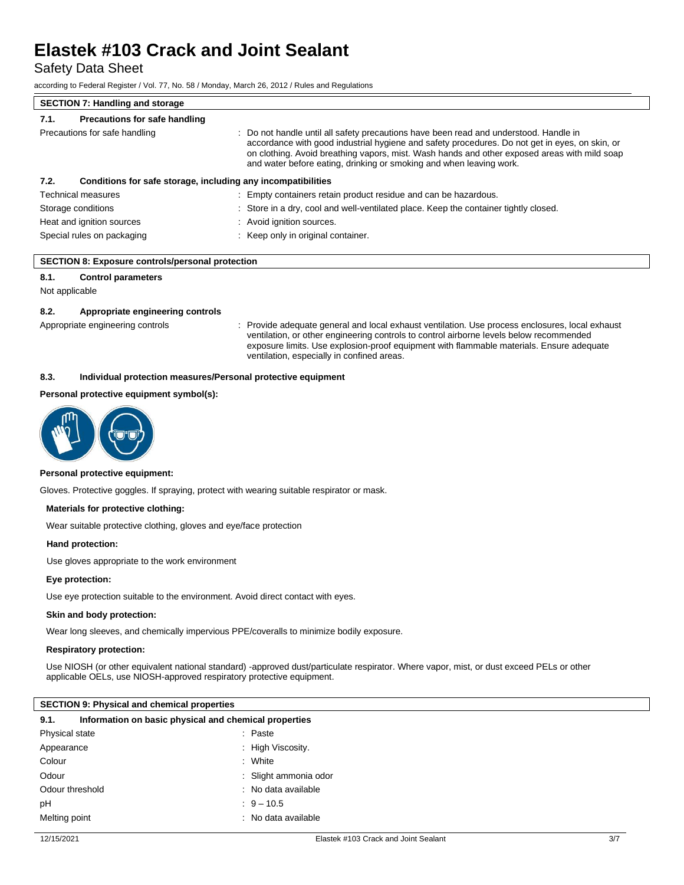Safety Data Sheet

according to Federal Register / Vol. 77, No. 58 / Monday, March 26, 2012 / Rules and Regulations

#### **SECTION 7: Handling and storage 7.1. Precautions for safe handling** Precautions for safe handling **interest in the safety precautions** have been read and understood. Handle in accordance with good industrial hygiene and safety procedures. Do not get in eyes, on skin, or on clothing. Avoid breathing vapors, mist. Wash hands and other exposed areas with mild soap and water before eating, drinking or smoking and when leaving work. **7.2. Conditions for safe storage, including any incompatibilities** Technical measures : Empty containers retain product residue and can be hazardous. Storage conditions **Storage conditions** : Store in a dry, cool and well-ventilated place. Keep the container tightly closed. Heat and ignition sources : Avoid ignition sources. Special rules on packaging **interest and the Container** : Keep only in original container.

#### **SECTION 8: Exposure controls/personal protection**

#### **8.1. Control parameters**

Not applicable

#### **8.2. Appropriate engineering controls**

Appropriate engineering controls : Provide adequate general and local exhaust ventilation. Use process enclosures, local exhaust ventilation, or other engineering controls to control airborne levels below recommended exposure limits. Use explosion-proof equipment with flammable materials. Ensure adequate ventilation, especially in confined areas.

#### **8.3. Individual protection measures/Personal protective equipment**

#### **Personal protective equipment symbol(s):**



#### **Personal protective equipment:**

Gloves. Protective goggles. If spraying, protect with wearing suitable respirator or mask.

#### **Materials for protective clothing:**

Wear suitable protective clothing, gloves and eye/face protection

#### **Hand protection:**

Use gloves appropriate to the work environment

#### **Eye protection:**

Use eye protection suitable to the environment. Avoid direct contact with eyes.

#### **Skin and body protection:**

Wear long sleeves, and chemically impervious PPE/coveralls to minimize bodily exposure.

#### **Respiratory protection:**

Use NIOSH (or other equivalent national standard) -approved dust/particulate respirator. Where vapor, mist, or dust exceed PELs or other applicable OELs, use NIOSH-approved respiratory protective equipment.

#### **SECTION 9: Physical and chemical properties**

| 9.1.            | Information on basic physical and chemical properties |  |                       |  |  |  |
|-----------------|-------------------------------------------------------|--|-----------------------|--|--|--|
| Physical state  |                                                       |  | : Paste               |  |  |  |
| Appearance      |                                                       |  | : High Viscosity.     |  |  |  |
| Colour          |                                                       |  | : White               |  |  |  |
| Odour           |                                                       |  | : Slight ammonia odor |  |  |  |
| Odour threshold |                                                       |  | $:$ No data available |  |  |  |
| pH              |                                                       |  | $9 - 10.5$            |  |  |  |
| Melting point   |                                                       |  | $:$ No data available |  |  |  |
|                 |                                                       |  |                       |  |  |  |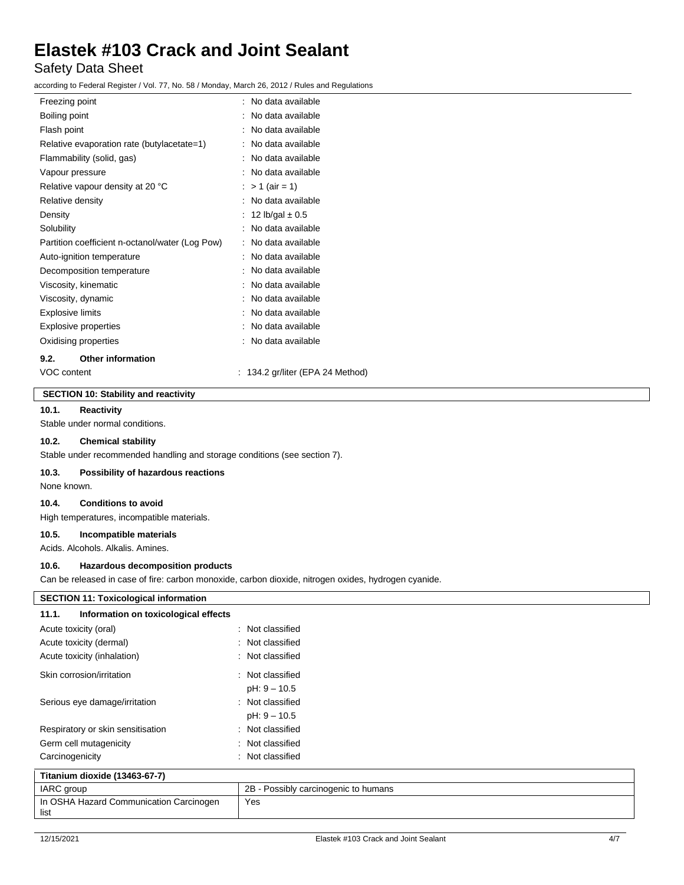### Safety Data Sheet

according to Federal Register / Vol. 77, No. 58 / Monday, March 26, 2012 / Rules and Regulations

| Freezing point                                  | : No data available |
|-------------------------------------------------|---------------------|
| Boiling point                                   | : No data available |
| Flash point                                     | : No data available |
| Relative evaporation rate (butylacetate=1)      | No data available   |
| Flammability (solid, gas)                       | No data available   |
| Vapour pressure                                 | No data available   |
| Relative vapour density at 20 °C                | : > 1 (air = 1)     |
| Relative density                                | No data available   |
| Density                                         | 12 lb/gal $\pm 0.5$ |
| Solubility                                      | No data available   |
| Partition coefficient n-octanol/water (Log Pow) | No data available   |
| Auto-ignition temperature                       | No data available   |
| Decomposition temperature                       | No data available   |
| Viscosity, kinematic                            | No data available   |
| Viscosity, dynamic                              | No data available   |
| Explosive limits                                | No data available   |
| <b>Explosive properties</b>                     | No data available   |
| Oxidising properties                            | No data available   |
| <b>Other information</b><br>9.2.                |                     |

VOC content : 134.2 gr/liter (EPA 24 Method)

#### **SECTION 10: Stability and reactivity**

#### **10.1. Reactivity**

Stable under normal conditions.

#### **10.2. Chemical stability**

Stable under recommended handling and storage conditions (see section 7).

#### **10.3. Possibility of hazardous reactions**

None known.

#### **10.4. Conditions to avoid**

High temperatures, incompatible materials.

### **10.5. Incompatible materials**

Acids. Alcohols. Alkalis. Amines.

#### **10.6. Hazardous decomposition products**

Can be released in case of fire: carbon monoxide, carbon dioxide, nitrogen oxides, hydrogen cyanide.

| <b>SECTION 11: Toxicological information</b>  |                                      |  |  |  |
|-----------------------------------------------|--------------------------------------|--|--|--|
| Information on toxicological effects<br>11.1. |                                      |  |  |  |
| Acute toxicity (oral)                         | : Not classified                     |  |  |  |
| Acute toxicity (dermal)                       | : Not classified                     |  |  |  |
| Acute toxicity (inhalation)                   | : Not classified                     |  |  |  |
| Skin corrosion/irritation                     | : Not classified                     |  |  |  |
|                                               | $pH: 9 - 10.5$                       |  |  |  |
| Serious eye damage/irritation                 | : Not classified                     |  |  |  |
|                                               | $pH: 9 - 10.5$                       |  |  |  |
| Respiratory or skin sensitisation             | : Not classified                     |  |  |  |
| Germ cell mutagenicity                        | : Not classified                     |  |  |  |
| Carcinogenicity                               | : Not classified                     |  |  |  |
| Titanium dioxide (13463-67-7)                 |                                      |  |  |  |
| IARC group                                    | 2B - Possibly carcinogenic to humans |  |  |  |
| In OSHA Hazard Communication Carcinogen       | Yes                                  |  |  |  |

list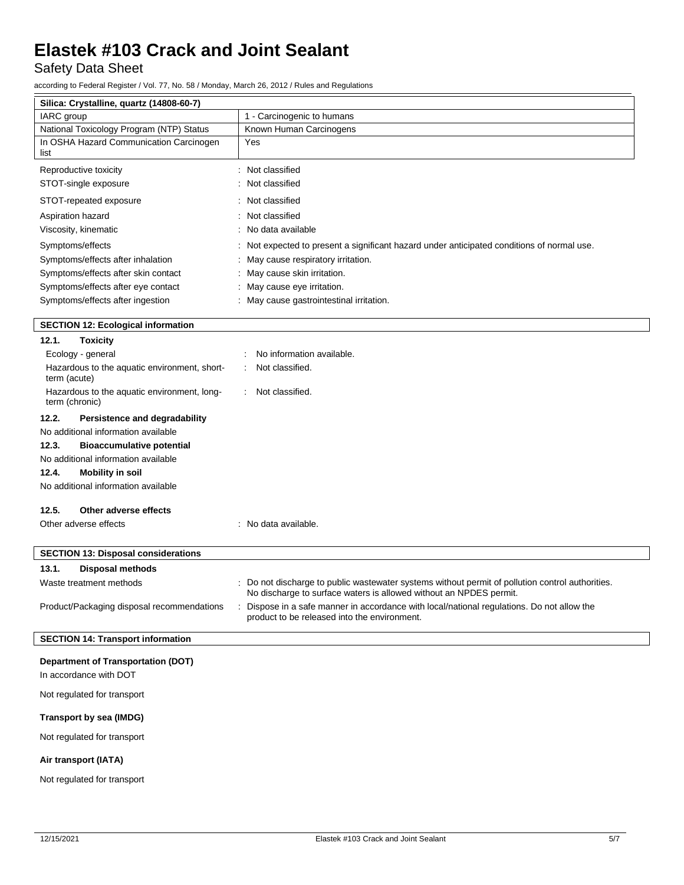Safety Data Sheet

according to Federal Register / Vol. 77, No. 58 / Monday, March 26, 2012 / Rules and Regulations

| Silica: Crystalline, quartz (14808-60-7)                            |                                                                                                                                                                        |  |  |  |  |
|---------------------------------------------------------------------|------------------------------------------------------------------------------------------------------------------------------------------------------------------------|--|--|--|--|
| IARC group                                                          | 1 - Carcinogenic to humans                                                                                                                                             |  |  |  |  |
| National Toxicology Program (NTP) Status                            | Known Human Carcinogens                                                                                                                                                |  |  |  |  |
| In OSHA Hazard Communication Carcinogen<br>list                     | Yes                                                                                                                                                                    |  |  |  |  |
| Reproductive toxicity                                               | : Not classified                                                                                                                                                       |  |  |  |  |
| STOT-single exposure                                                | : Not classified                                                                                                                                                       |  |  |  |  |
| STOT-repeated exposure                                              | Not classified                                                                                                                                                         |  |  |  |  |
| Aspiration hazard                                                   | Not classified                                                                                                                                                         |  |  |  |  |
| Viscosity, kinematic                                                | No data available                                                                                                                                                      |  |  |  |  |
| Symptoms/effects                                                    | : Not expected to present a significant hazard under anticipated conditions of normal use.                                                                             |  |  |  |  |
| Symptoms/effects after inhalation                                   | May cause respiratory irritation.                                                                                                                                      |  |  |  |  |
| Symptoms/effects after skin contact                                 | May cause skin irritation.                                                                                                                                             |  |  |  |  |
| Symptoms/effects after eye contact                                  | May cause eye irritation.                                                                                                                                              |  |  |  |  |
| Symptoms/effects after ingestion                                    | : May cause gastrointestinal irritation.                                                                                                                               |  |  |  |  |
| <b>SECTION 12: Ecological information</b>                           |                                                                                                                                                                        |  |  |  |  |
| 12.1.<br><b>Toxicity</b>                                            |                                                                                                                                                                        |  |  |  |  |
| Ecology - general                                                   | No information available.                                                                                                                                              |  |  |  |  |
| Hazardous to the aquatic environment, short-<br>term (acute)        | Not classified.                                                                                                                                                        |  |  |  |  |
| Hazardous to the aquatic environment, long-<br>term (chronic)       | Not classified.<br>÷                                                                                                                                                   |  |  |  |  |
| 12.2.<br>Persistence and degradability                              |                                                                                                                                                                        |  |  |  |  |
| No additional information available                                 |                                                                                                                                                                        |  |  |  |  |
| 12.3.<br><b>Bioaccumulative potential</b>                           |                                                                                                                                                                        |  |  |  |  |
| No additional information available                                 |                                                                                                                                                                        |  |  |  |  |
| 12.4.<br><b>Mobility in soil</b>                                    |                                                                                                                                                                        |  |  |  |  |
| No additional information available                                 |                                                                                                                                                                        |  |  |  |  |
| 12.5.<br>Other adverse effects                                      |                                                                                                                                                                        |  |  |  |  |
| Other adverse effects                                               | : No data available.                                                                                                                                                   |  |  |  |  |
|                                                                     |                                                                                                                                                                        |  |  |  |  |
| <b>SECTION 13: Disposal considerations</b>                          |                                                                                                                                                                        |  |  |  |  |
| 13.1.<br><b>Disposal methods</b>                                    |                                                                                                                                                                        |  |  |  |  |
| Waste treatment methods                                             | : Do not discharge to public wastewater systems without permit of pollution control authorities.<br>No discharge to surface waters is allowed without an NPDES permit. |  |  |  |  |
| Product/Packaging disposal recommendations                          | Dispose in a safe manner in accordance with local/national regulations. Do not allow the<br>product to be released into the environment.                               |  |  |  |  |
| <b>SECTION 14: Transport information</b>                            |                                                                                                                                                                        |  |  |  |  |
| <b>Department of Transportation (DOT)</b><br>In accordance with DOT |                                                                                                                                                                        |  |  |  |  |
| Not regulated for transport                                         |                                                                                                                                                                        |  |  |  |  |
|                                                                     |                                                                                                                                                                        |  |  |  |  |

#### **Transport by sea (IMDG)**

Not regulated for transport

### **Air transport (IATA)**

Not regulated for transport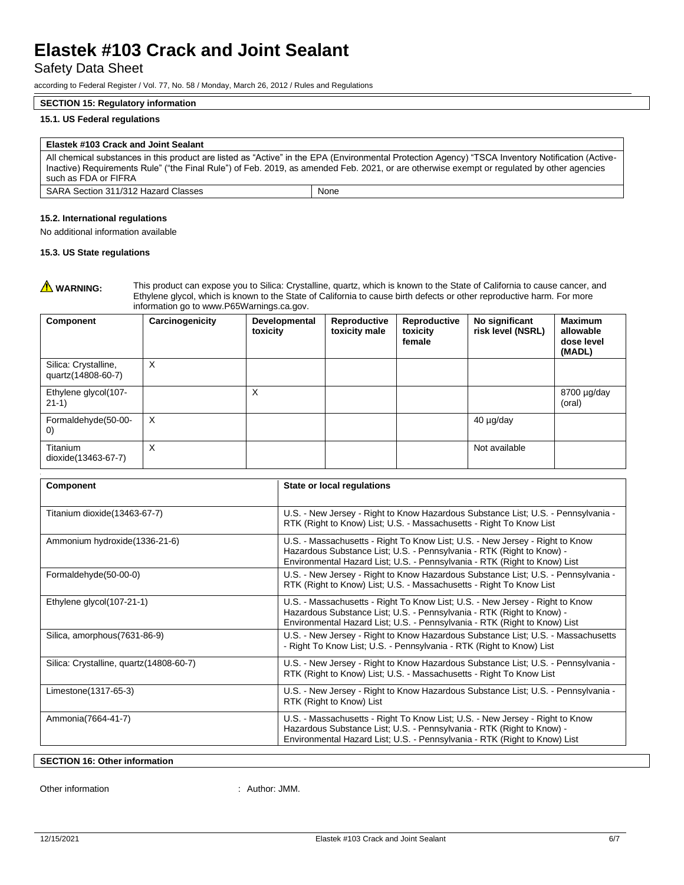Safety Data Sheet

according to Federal Register / Vol. 77, No. 58 / Monday, March 26, 2012 / Rules and Regulations

#### **SECTION 15: Regulatory information**

#### **15.1. US Federal regulations**

#### **Elastek #103 Crack and Joint Sealant** All chemical substances in this product are listed as "Active" in the EPA (Environmental Protection Agency) "TSCA Inventory Notification (Active-Inactive) Requirements Rule" ("the Final Rule") of Feb. 2019, as amended Feb. 2021, or are otherwise exempt or regulated by other agencies such as FDA or FIFRA

| 0000110001D7\01111V\                   |      |
|----------------------------------------|------|
| SARA<br>Section 311/312 Hazard Classes | None |

#### **15.2. International regulations**

No additional information available

#### **15.3. US State regulations**

**A WARNING:** This product can expose you to Silica: Crystalline, quartz, which is known to the State of California to cause cancer, and Ethylene glycol, which is known to the State of California to cause birth defects or other reproductive harm. For more information go to www.P65Warnings.ca.gov.

| Component                                  | Carcinogenicity | Developmental<br>toxicity | Reproductive<br>toxicity male | Reproductive<br>toxicity<br>female | No significant<br>risk level (NSRL) | <b>Maximum</b><br>allowable<br>dose level<br>(MADL) |
|--------------------------------------------|-----------------|---------------------------|-------------------------------|------------------------------------|-------------------------------------|-----------------------------------------------------|
| Silica: Crystalline,<br>quartz(14808-60-7) | X               |                           |                               |                                    |                                     |                                                     |
| Ethylene glycol(107-<br>$21-1)$            |                 | X                         |                               |                                    |                                     | 8700 µg/day<br>(oral)                               |
| Formaldehyde(50-00-<br>$\left( 0\right)$   | X               |                           |                               |                                    | 40 µg/day                           |                                                     |
| Titanium<br>dioxide(13463-67-7)            | Χ               |                           |                               |                                    | Not available                       |                                                     |

| Component                                | State or local regulations                                                                                                                                                                                                         |
|------------------------------------------|------------------------------------------------------------------------------------------------------------------------------------------------------------------------------------------------------------------------------------|
| Titanium dioxide (13463-67-7)            | U.S. - New Jersey - Right to Know Hazardous Substance List; U.S. - Pennsylvania -<br>RTK (Right to Know) List; U.S. - Massachusetts - Right To Know List                                                                           |
| Ammonium hydroxide (1336-21-6)           | U.S. - Massachusetts - Right To Know List; U.S. - New Jersey - Right to Know<br>Hazardous Substance List; U.S. - Pennsylvania - RTK (Right to Know) -<br>Environmental Hazard List; U.S. - Pennsylvania - RTK (Right to Know) List |
| Formaldehyde(50-00-0)                    | U.S. - New Jersey - Right to Know Hazardous Substance List; U.S. - Pennsylvania -<br>RTK (Right to Know) List; U.S. - Massachusetts - Right To Know List                                                                           |
| Ethylene glycol(107-21-1)                | U.S. - Massachusetts - Right To Know List; U.S. - New Jersey - Right to Know<br>Hazardous Substance List; U.S. - Pennsylvania - RTK (Right to Know) -<br>Environmental Hazard List; U.S. - Pennsylvania - RTK (Right to Know) List |
| Silica, amorphous(7631-86-9)             | U.S. - New Jersey - Right to Know Hazardous Substance List; U.S. - Massachusetts<br>- Right To Know List; U.S. - Pennsylvania - RTK (Right to Know) List                                                                           |
| Silica: Crystalline, quartz (14808-60-7) | U.S. - New Jersey - Right to Know Hazardous Substance List; U.S. - Pennsylvania -<br>RTK (Right to Know) List; U.S. - Massachusetts - Right To Know List                                                                           |
| Limestone(1317-65-3)                     | U.S. - New Jersey - Right to Know Hazardous Substance List; U.S. - Pennsylvania -<br>RTK (Right to Know) List                                                                                                                      |
| Ammonia(7664-41-7)                       | U.S. - Massachusetts - Right To Know List; U.S. - New Jersey - Right to Know<br>Hazardous Substance List; U.S. - Pennsylvania - RTK (Right to Know) -<br>Environmental Hazard List; U.S. - Pennsylvania - RTK (Right to Know) List |

#### **SECTION 16: Other information**

Other information  $\blacksquare$  : Author: JMM.